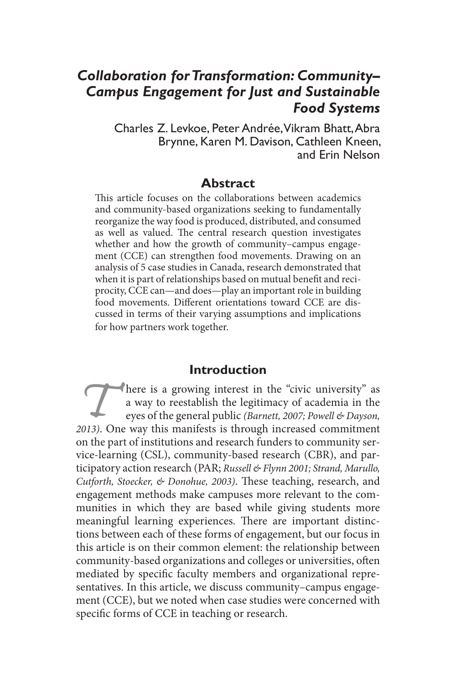# *Collaboration for Transformation: Community– Campus Engagement for Just and Sustainable Food Systems*

Charles Z. Levkoe, Peter Andrée, Vikram Bhatt, Abra Brynne, Karen M. Davison, Cathleen Kneen, and Erin Nelson

#### **Abstract**

This article focuses on the collaborations between academics and community-based organizations seeking to fundamentally reorganize the way food is produced, distributed, and consumed as well as valued. The central research question investigates whether and how the growth of community–campus engagement (CCE) can strengthen food movements. Drawing on an analysis of 5 case studies in Canada, research demonstrated that when it is part of relationships based on mutual benefit and reciprocity, CCE can—and does—play an important role in building food movements. Different orientations toward CCE are discussed in terms of their varying assumptions and implications for how partners work together.

### **Introduction**

There is a growing interest in the "civic university" as a way to reestablish the legitimacy of academia in the eyes of the general public *(Barnett, 2007; Powell & Dayson, 2013)*. One way this manifests is through increased commitment on the part of institutions and research funders to community service-learning (CSL), community-based research (CBR), and participatory action research (PAR; *Russell & Flynn 2001; Strand, Marullo, Cutforth, Stoecker, & Donohue, 2003)*. These teaching, research, and engagement methods make campuses more relevant to the communities in which they are based while giving students more meaningful learning experiences. There are important distinctions between each of these forms of engagement, but our focus in this article is on their common element: the relationship between community-based organizations and colleges or universities, often mediated by specific faculty members and organizational representatives. In this article, we discuss community–campus engagement (CCE), but we noted when case studies were concerned with specific forms of CCE in teaching or research.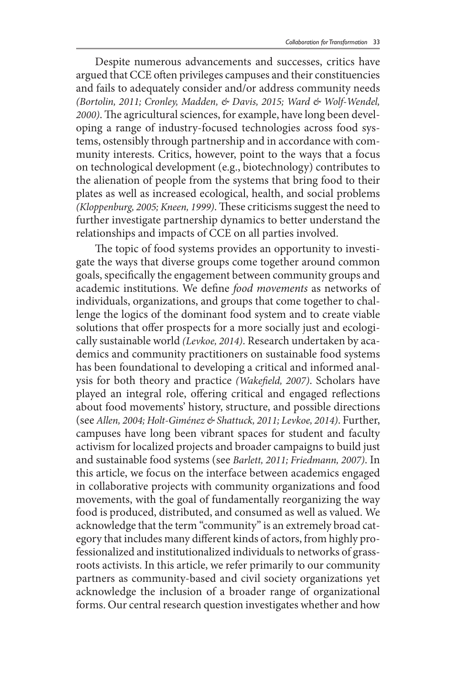Despite numerous advancements and successes, critics have argued that CCE often privileges campuses and their constituencies and fails to adequately consider and/or address community needs *(Bortolin, 2011; Cronley, Madden, & Davis, 2015; Ward & Wolf-Wendel, 2000)*. The agricultural sciences, for example, have long been developing a range of industry-focused technologies across food systems, ostensibly through partnership and in accordance with community interests. Critics, however, point to the ways that a focus on technological development (e.g., biotechnology) contributes to the alienation of people from the systems that bring food to their plates as well as increased ecological, health, and social problems *(Kloppenburg, 2005; Kneen, 1999)*. These criticisms suggest the need to further investigate partnership dynamics to better understand the relationships and impacts of CCE on all parties involved.

The topic of food systems provides an opportunity to investigate the ways that diverse groups come together around common goals, specifically the engagement between community groups and academic institutions. We define *food movements* as networks of individuals, organizations, and groups that come together to challenge the logics of the dominant food system and to create viable solutions that offer prospects for a more socially just and ecologically sustainable world *(Levkoe, 2014)*. Research undertaken by academics and community practitioners on sustainable food systems has been foundational to developing a critical and informed analysis for both theory and practice *(Wakefield, 2007)*. Scholars have played an integral role, offering critical and engaged reflections about food movements' history, structure, and possible directions (see *Allen, 2004; Holt-Giménez & Shattuck, 2011; Levkoe, 2014)*. Further, campuses have long been vibrant spaces for student and faculty activism for localized projects and broader campaigns to build just and sustainable food systems (see *Barlett, 2011; Friedmann, 2007)*. In this article, we focus on the interface between academics engaged in collaborative projects with community organizations and food movements, with the goal of fundamentally reorganizing the way food is produced, distributed, and consumed as well as valued. We acknowledge that the term "community" is an extremely broad category that includes many different kinds of actors, from highly professionalized and institutionalized individuals to networks of grassroots activists. In this article, we refer primarily to our community partners as community-based and civil society organizations yet acknowledge the inclusion of a broader range of organizational forms. Our central research question investigates whether and how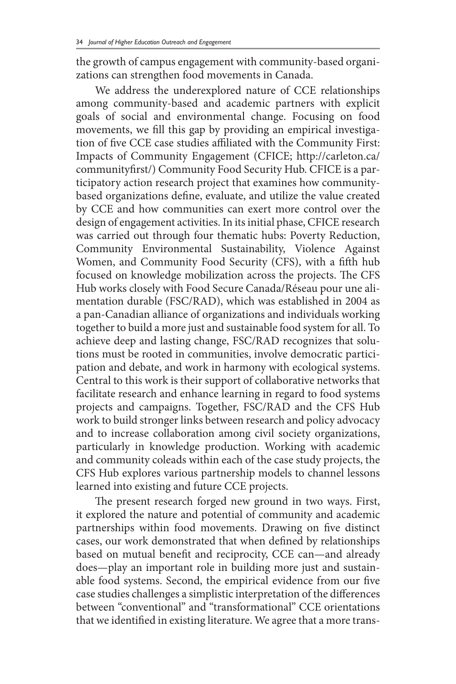the growth of campus engagement with community-based organizations can strengthen food movements in Canada.

We address the underexplored nature of CCE relationships among community-based and academic partners with explicit goals of social and environmental change. Focusing on food movements, we fill this gap by providing an empirical investigation of five CCE case studies affiliated with the Community First: Impacts of Community Engagement (CFICE; http://carleton.ca/ communityfirst/) Community Food Security Hub. CFICE is a participatory action research project that examines how communitybased organizations define, evaluate, and utilize the value created by CCE and how communities can exert more control over the design of engagement activities. In its initial phase, CFICE research was carried out through four thematic hubs: Poverty Reduction, Community Environmental Sustainability, Violence Against Women, and Community Food Security (CFS), with a fifth hub focused on knowledge mobilization across the projects. The CFS Hub works closely with Food Secure Canada/Réseau pour une alimentation durable (FSC/RAD), which was established in 2004 as a pan-Canadian alliance of organizations and individuals working together to build a more just and sustainable food system for all. To achieve deep and lasting change, FSC/RAD recognizes that solutions must be rooted in communities, involve democratic participation and debate, and work in harmony with ecological systems. Central to this work is their support of collaborative networks that facilitate research and enhance learning in regard to food systems projects and campaigns. Together, FSC/RAD and the CFS Hub work to build stronger links between research and policy advocacy and to increase collaboration among civil society organizations, particularly in knowledge production. Working with academic and community coleads within each of the case study projects, the CFS Hub explores various partnership models to channel lessons learned into existing and future CCE projects.

The present research forged new ground in two ways. First, it explored the nature and potential of community and academic partnerships within food movements. Drawing on five distinct cases, our work demonstrated that when defined by relationships based on mutual benefit and reciprocity, CCE can—and already does—play an important role in building more just and sustainable food systems. Second, the empirical evidence from our five case studies challenges a simplistic interpretation of the differences between "conventional" and "transformational" CCE orientations that we identified in existing literature. We agree that a more trans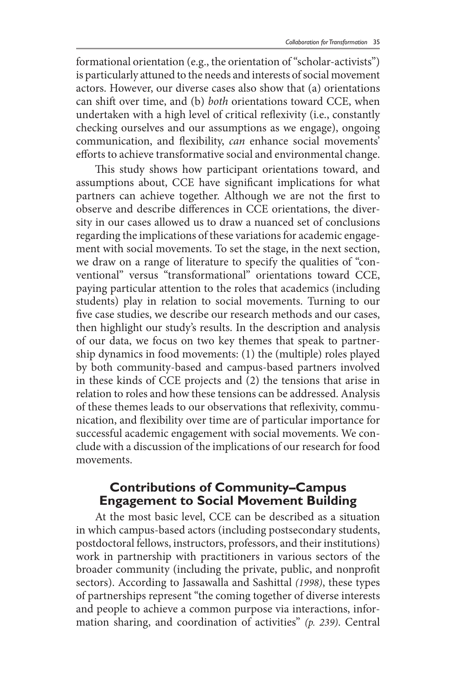formational orientation (e.g., the orientation of "scholar-activists") is particularly attuned to the needs and interests of social movement actors. However, our diverse cases also show that (a) orientations can shift over time, and (b) *both* orientations toward CCE, when undertaken with a high level of critical reflexivity (i.e., constantly checking ourselves and our assumptions as we engage), ongoing communication, and flexibility, *can* enhance social movements' efforts to achieve transformative social and environmental change.

This study shows how participant orientations toward, and assumptions about, CCE have significant implications for what partners can achieve together. Although we are not the first to observe and describe differences in CCE orientations, the diversity in our cases allowed us to draw a nuanced set of conclusions regarding the implications of these variations for academic engagement with social movements. To set the stage, in the next section, we draw on a range of literature to specify the qualities of "conventional" versus "transformational" orientations toward CCE, paying particular attention to the roles that academics (including students) play in relation to social movements. Turning to our five case studies, we describe our research methods and our cases, then highlight our study's results. In the description and analysis of our data, we focus on two key themes that speak to partnership dynamics in food movements: (1) the (multiple) roles played by both community-based and campus-based partners involved in these kinds of CCE projects and (2) the tensions that arise in relation to roles and how these tensions can be addressed. Analysis of these themes leads to our observations that reflexivity, communication, and flexibility over time are of particular importance for successful academic engagement with social movements. We conclude with a discussion of the implications of our research for food movements.

### **Contributions of Community–Campus Engagement to Social Movement Building**

At the most basic level, CCE can be described as a situation in which campus-based actors (including postsecondary students, postdoctoral fellows, instructors, professors, and their institutions) work in partnership with practitioners in various sectors of the broader community (including the private, public, and nonprofit sectors). According to Jassawalla and Sashittal *(1998)*, these types of partnerships represent "the coming together of diverse interests and people to achieve a common purpose via interactions, information sharing, and coordination of activities" *(p. 239)*. Central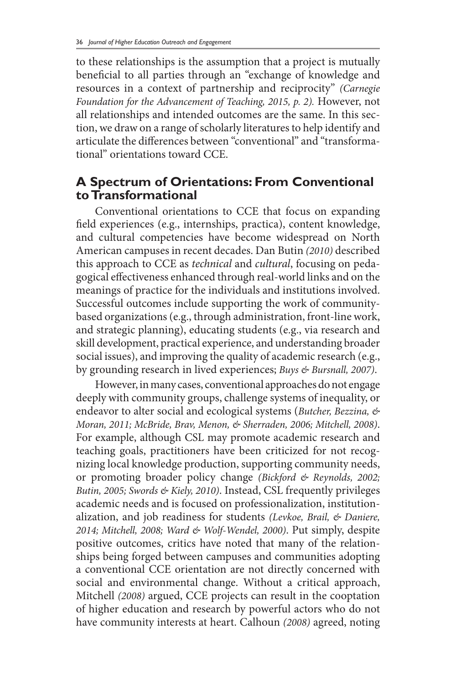to these relationships is the assumption that a project is mutually beneficial to all parties through an "exchange of knowledge and resources in a context of partnership and reciprocity" *(Carnegie Foundation for the Advancement of Teaching, 2015, p. 2).* However, not all relationships and intended outcomes are the same. In this section, we draw on a range of scholarly literatures to help identify and articulate the differences between "conventional" and "transformational" orientations toward CCE.

### **A Spectrum of Orientations: From Conventional to Transformational**

Conventional orientations to CCE that focus on expanding field experiences (e.g., internships, practica), content knowledge, and cultural competencies have become widespread on North American campuses in recent decades. Dan Butin *(2010)* described this approach to CCE as *technical* and *cultural*, focusing on pedagogical effectiveness enhanced through real-world links and on the meanings of practice for the individuals and institutions involved. Successful outcomes include supporting the work of communitybased organizations (e.g., through administration, front-line work, and strategic planning), educating students (e.g., via research and skill development, practical experience, and understanding broader social issues), and improving the quality of academic research (e.g., by grounding research in lived experiences; *Buys & Bursnall, 2007)*.

However, in many cases, conventional approaches do not engage deeply with community groups, challenge systems of inequality, or endeavor to alter social and ecological systems (*Butcher, Bezzina, & Moran, 2011; McBride, Brav, Menon, & Sherraden, 2006; Mitchell, 2008)*. For example, although CSL may promote academic research and teaching goals, practitioners have been criticized for not recognizing local knowledge production, supporting community needs, or promoting broader policy change *(Bickford & Reynolds, 2002; Butin, 2005; Swords & Kiely, 2010)*. Instead, CSL frequently privileges academic needs and is focused on professionalization, institutionalization, and job readiness for students *(Levkoe, Brail, & Daniere, 2014; Mitchell, 2008; Ward & Wolf-Wendel, 2000)*. Put simply, despite positive outcomes, critics have noted that many of the relationships being forged between campuses and communities adopting a conventional CCE orientation are not directly concerned with social and environmental change. Without a critical approach, Mitchell *(2008)* argued, CCE projects can result in the cooptation of higher education and research by powerful actors who do not have community interests at heart. Calhoun *(2008)* agreed, noting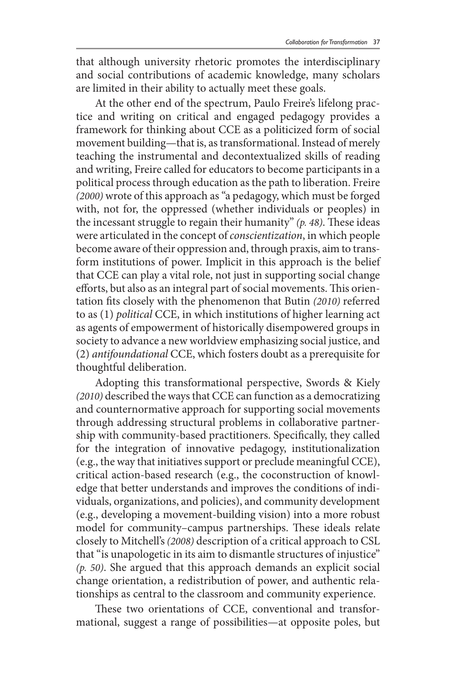that although university rhetoric promotes the interdisciplinary and social contributions of academic knowledge, many scholars are limited in their ability to actually meet these goals.

At the other end of the spectrum, Paulo Freire's lifelong practice and writing on critical and engaged pedagogy provides a framework for thinking about CCE as a politicized form of social movement building—that is, as transformational. Instead of merely teaching the instrumental and decontextualized skills of reading and writing, Freire called for educators to become participants in a political process through education as the path to liberation. Freire *(2000)* wrote of this approach as "a pedagogy, which must be forged with, not for, the oppressed (whether individuals or peoples) in the incessant struggle to regain their humanity" *(p. 48)*. These ideas were articulated in the concept of *conscientization*, in which people become aware of their oppression and, through praxis, aim to transform institutions of power. Implicit in this approach is the belief that CCE can play a vital role, not just in supporting social change efforts, but also as an integral part of social movements. This orientation fits closely with the phenomenon that Butin *(2010)* referred to as (1) *political* CCE, in which institutions of higher learning act as agents of empowerment of historically disempowered groups in society to advance a new worldview emphasizing social justice, and (2) *antifoundational* CCE, which fosters doubt as a prerequisite for thoughtful deliberation.

Adopting this transformational perspective, Swords & Kiely *(2010)* described the ways that CCE can function as a democratizing and counternormative approach for supporting social movements through addressing structural problems in collaborative partnership with community-based practitioners. Specifically, they called for the integration of innovative pedagogy, institutionalization (e.g., the way that initiatives support or preclude meaningful CCE), critical action-based research (e.g., the coconstruction of knowledge that better understands and improves the conditions of individuals, organizations, and policies), and community development (e.g., developing a movement-building vision) into a more robust model for community–campus partnerships. These ideals relate closely to Mitchell's *(2008)* description of a critical approach to CSL that "is unapologetic in its aim to dismantle structures of injustice" *(p. 50)*. She argued that this approach demands an explicit social change orientation, a redistribution of power, and authentic relationships as central to the classroom and community experience.

These two orientations of CCE, conventional and transformational, suggest a range of possibilities—at opposite poles, but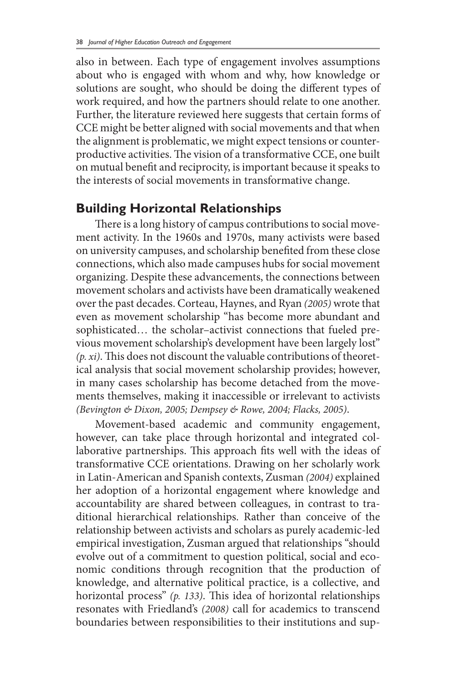also in between. Each type of engagement involves assumptions about who is engaged with whom and why, how knowledge or solutions are sought, who should be doing the different types of work required, and how the partners should relate to one another. Further, the literature reviewed here suggests that certain forms of CCE might be better aligned with social movements and that when the alignment is problematic, we might expect tensions or counterproductive activities. The vision of a transformative CCE, one built on mutual benefit and reciprocity, is important because it speaks to the interests of social movements in transformative change.

### **Building Horizontal Relationships**

There is a long history of campus contributions to social movement activity. In the 1960s and 1970s, many activists were based on university campuses, and scholarship benefited from these close connections, which also made campuses hubs for social movement organizing. Despite these advancements, the connections between movement scholars and activists have been dramatically weakened over the past decades. Corteau, Haynes, and Ryan *(2005)* wrote that even as movement scholarship "has become more abundant and sophisticated… the scholar–activist connections that fueled previous movement scholarship's development have been largely lost" *(p. xi)*. This does not discount the valuable contributions of theoretical analysis that social movement scholarship provides; however, in many cases scholarship has become detached from the movements themselves, making it inaccessible or irrelevant to activists *(Bevington & Dixon, 2005; Dempsey & Rowe, 2004; Flacks, 2005)*.

Movement-based academic and community engagement, however, can take place through horizontal and integrated collaborative partnerships. This approach fits well with the ideas of transformative CCE orientations. Drawing on her scholarly work in Latin-American and Spanish contexts, Zusman *(2004)* explained her adoption of a horizontal engagement where knowledge and accountability are shared between colleagues, in contrast to traditional hierarchical relationships. Rather than conceive of the relationship between activists and scholars as purely academic-led empirical investigation, Zusman argued that relationships "should evolve out of a commitment to question political, social and economic conditions through recognition that the production of knowledge, and alternative political practice, is a collective, and horizontal process" *(p. 133)*. This idea of horizontal relationships resonates with Friedland's *(2008)* call for academics to transcend boundaries between responsibilities to their institutions and sup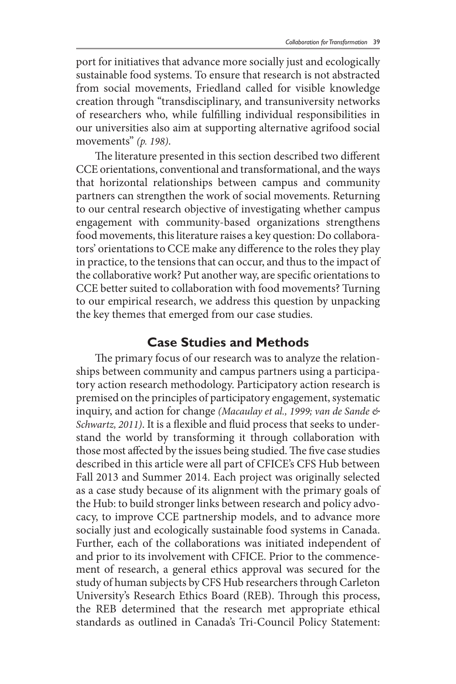port for initiatives that advance more socially just and ecologically sustainable food systems. To ensure that research is not abstracted from social movements, Friedland called for visible knowledge creation through "transdisciplinary, and transuniversity networks of researchers who, while fulfilling individual responsibilities in our universities also aim at supporting alternative agrifood social movements" *(p. 198)*.

The literature presented in this section described two different CCE orientations, conventional and transformational, and the ways that horizontal relationships between campus and community partners can strengthen the work of social movements. Returning to our central research objective of investigating whether campus engagement with community-based organizations strengthens food movements, this literature raises a key question: Do collaborators' orientations to CCE make any difference to the roles they play in practice, to the tensions that can occur, and thus to the impact of the collaborative work? Put another way, are specific orientations to CCE better suited to collaboration with food movements? Turning to our empirical research, we address this question by unpacking the key themes that emerged from our case studies.

### **Case Studies and Methods**

The primary focus of our research was to analyze the relationships between community and campus partners using a participatory action research methodology. Participatory action research is premised on the principles of participatory engagement, systematic inquiry, and action for change *(Macaulay et al., 1999; van de Sande & Schwartz, 2011)*. It is a flexible and fluid process that seeks to understand the world by transforming it through collaboration with those most affected by the issues being studied. The five case studies described in this article were all part of CFICE's CFS Hub between Fall 2013 and Summer 2014. Each project was originally selected as a case study because of its alignment with the primary goals of the Hub: to build stronger links between research and policy advocacy, to improve CCE partnership models, and to advance more socially just and ecologically sustainable food systems in Canada. Further, each of the collaborations was initiated independent of and prior to its involvement with CFICE. Prior to the commencement of research, a general ethics approval was secured for the study of human subjects by CFS Hub researchers through Carleton University's Research Ethics Board (REB). Through this process, the REB determined that the research met appropriate ethical standards as outlined in Canada's Tri-Council Policy Statement: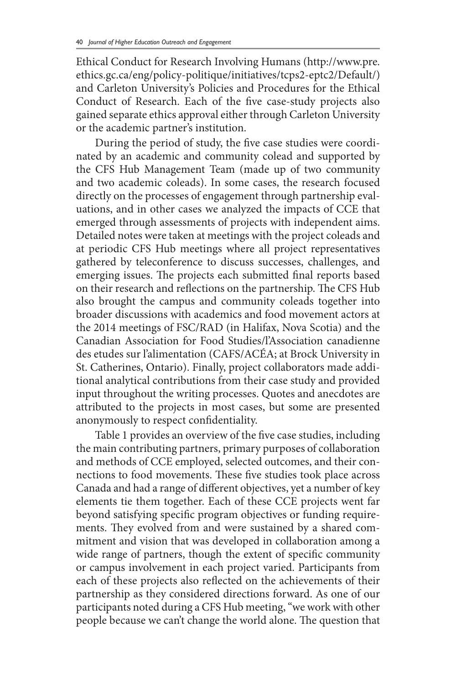Ethical Conduct for Research Involving Humans (http://www.pre. ethics.gc.ca/eng/policy-politique/initiatives/tcps2-eptc2/Default/) and Carleton University's Policies and Procedures for the Ethical Conduct of Research. Each of the five case-study projects also gained separate ethics approval either through Carleton University or the academic partner's institution.

During the period of study, the five case studies were coordinated by an academic and community colead and supported by the CFS Hub Management Team (made up of two community and two academic coleads). In some cases, the research focused directly on the processes of engagement through partnership evaluations, and in other cases we analyzed the impacts of CCE that emerged through assessments of projects with independent aims. Detailed notes were taken at meetings with the project coleads and at periodic CFS Hub meetings where all project representatives gathered by teleconference to discuss successes, challenges, and emerging issues. The projects each submitted final reports based on their research and reflections on the partnership. The CFS Hub also brought the campus and community coleads together into broader discussions with academics and food movement actors at the 2014 meetings of FSC/RAD (in Halifax, Nova Scotia) and the Canadian Association for Food Studies/l'Association canadienne des etudes sur l'alimentation (CAFS/ACÉA; at Brock University in St. Catherines, Ontario). Finally, project collaborators made additional analytical contributions from their case study and provided input throughout the writing processes. Quotes and anecdotes are attributed to the projects in most cases, but some are presented anonymously to respect confidentiality.

Table 1 provides an overview of the five case studies, including the main contributing partners, primary purposes of collaboration and methods of CCE employed, selected outcomes, and their connections to food movements. These five studies took place across Canada and had a range of different objectives, yet a number of key elements tie them together. Each of these CCE projects went far beyond satisfying specific program objectives or funding requirements. They evolved from and were sustained by a shared commitment and vision that was developed in collaboration among a wide range of partners, though the extent of specific community or campus involvement in each project varied. Participants from each of these projects also reflected on the achievements of their partnership as they considered directions forward. As one of our participants noted during a CFS Hub meeting, "we work with other people because we can't change the world alone. The question that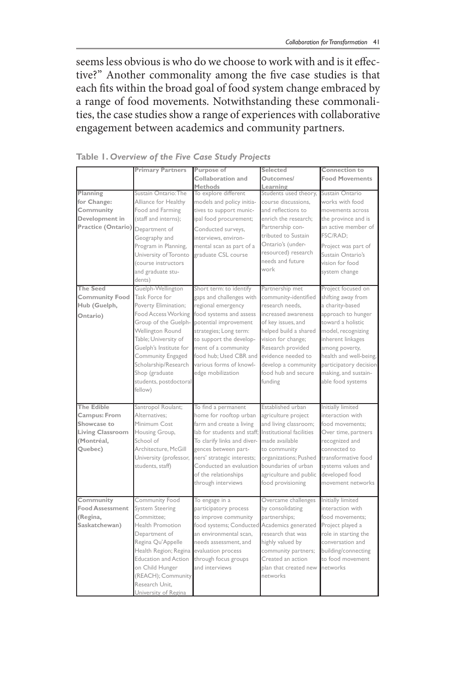seems less obvious is who do we choose to work with and is it effective?" Another commonality among the five case studies is that each fits within the broad goal of food system change embraced by a range of food movements. Notwithstanding these commonalities, the case studies show a range of experiences with collaborative engagement between academics and community partners.

|                        | <b>Primary Partners</b>     | Purpose of                                           | Selected               | Connection to          |
|------------------------|-----------------------------|------------------------------------------------------|------------------------|------------------------|
|                        |                             | Collaboration and                                    | Outcomes/              | <b>Food Movements</b>  |
|                        |                             | <b>Methods</b>                                       | Learning               |                        |
| Planning               | Sustain Ontario: The        | To explore different                                 | Students used theory,  | Sustain Ontario        |
| for Change:            | Alliance for Healthy        | models and policy initia-                            | course discussions,    | works with food        |
| Community              | Food and Farming            | tives to support munic-                              | and reflections to     | movements across       |
| Development in         | (staff and interns);        | ipal food procurement;                               | enrich the research:   | the province and is    |
| Practice (Ontario)     | Department of               | Conducted surveys,                                   | Partnership con-       | an active member of    |
|                        | Geography and               | interviews, environ-                                 | tributed to Sustain    | FSC/RAD:               |
|                        | Program in Planning,        | mental scan as part of a                             | Ontario's (under-      | Project was part of    |
|                        | University of Toronto       | graduate CSL course                                  | resourced) research    | Sustain Ontario's      |
|                        | (course instructors         |                                                      | needs and future       | vision for food        |
|                        | and graduate stu-           |                                                      | work                   | system change          |
|                        | dents)                      |                                                      |                        |                        |
| <b>The Seed</b>        | Guelph-Wellington           | Short term: to identify                              | Partnership met        | Project focused on     |
| <b>Community Food</b>  | Task Force for              | gaps and challenges with                             | community-identified   | shifting away from     |
| Hub (Guelph,           | Poverty Elimination:        | regional emergency                                   | research needs.        | a charity-based        |
| Ontario)               | <b>Food Access Working</b>  | food systems and assess                              | increased awareness    | approach to hunger     |
|                        | Group of the Guelph-        | potential improvement                                | of key issues, and     | toward a holistic      |
|                        | <b>Wellington Round</b>     | strategies; Long term:                               | helped build a shared  | model, recognizing     |
|                        | Table; University of        | to support the develop-                              | vision for change;     | inherent linkages      |
|                        | Guelph's Institute for      | ment of a community                                  | Research provided      | among poverty,         |
|                        | Community Engaged           | food hub: Used CBR and                               | evidence needed to     | health and well-being, |
|                        | Scholarship/Research        | various forms of knowl-                              | develop a community    | participatory decision |
|                        | Shop (graduate              | edge mobilization                                    | food hub and secure    | making, and sustain-   |
|                        | students, postdoctoral      |                                                      | funding                | able food systems      |
|                        | fellow)                     |                                                      |                        |                        |
|                        |                             |                                                      |                        |                        |
| <b>The Edible</b>      | Santropol Roulant;          | To find a permanent                                  | Established urban      | Initially limited      |
| Campus: From           | Alternatives:               | home for rooftop urban                               | agriculture project    | interaction with       |
| Showcase to            | Minimum Cost                | farm and create a living                             | and living classroom;  | food movements:        |
| Living Classroom       | Housing Group,              | lab for students and staff: Institutional facilities |                        | Over time, partners    |
| (Montréal,             | School of                   | To clarify links and diver-                          | made available         | recognized and         |
| Quebec)                | Architecture, McGill        | gences between part-                                 | to community           | connected to           |
|                        | University (professor,      | ners' strategic interests;                           | organizations; Pushed  | transformative food    |
|                        | students, staff)            | Conducted an evaluation                              | boundaries of urban    | systems values and     |
|                        |                             | of the relationships                                 | agriculture and public | developed food         |
|                        |                             | through interviews                                   |                        | movement networks      |
|                        |                             |                                                      | food provisioning      |                        |
| Community              | Community Food              | To engage in a                                       | Overcame challenges    | Initially limited      |
| <b>Food Assessment</b> | <b>System Steering</b>      | participatory process                                | by consolidating       | interaction with       |
| (Regina,               | Committee:                  | to improve community                                 | partnerships;          | food movements:        |
| Saskatchewan)          | Health Promotion            |                                                      |                        |                        |
|                        |                             | food systems; Conducted Academics generated          |                        | Project played a       |
|                        | Department of               | an environmental scan.                               | research that was      | role in starting the   |
|                        | Regina Qu'Appelle           | needs assessment, and                                | highly valued by       | conversation and       |
|                        | Health Region; Regina       | evaluation process                                   | community partners;    | building/connecting    |
|                        | <b>Education and Action</b> | through focus groups                                 | Created an action      | to food movement       |
|                        | on Child Hunger             | and interviews                                       | plan that created new  | networks               |
|                        | (REACH); Community          |                                                      | networks               |                        |
|                        | Research Unit.              |                                                      |                        |                        |
|                        | University of Regina        |                                                      |                        |                        |

**Table 1.** *Overview of the Five Case Study Projects*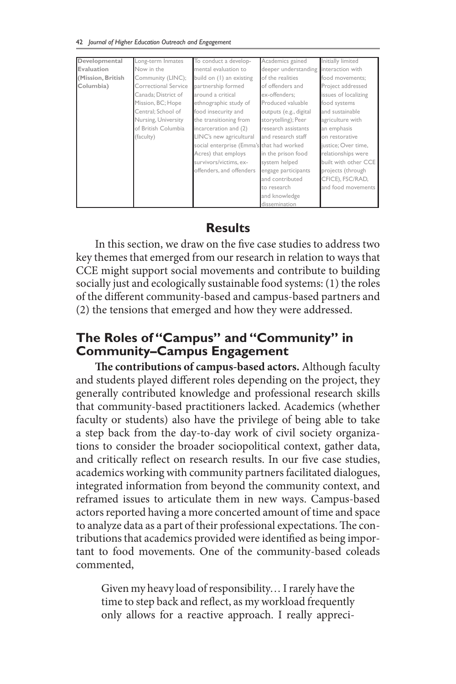| Developmental     | Long-term Inmates    | To conduct a develop-                     | Academics gained       | Initially limited    |
|-------------------|----------------------|-------------------------------------------|------------------------|----------------------|
| Evaluation        | Now in the           | mental evaluation to                      | deeper understanding   | interaction with     |
| (Mission, British | Community (LINC);    | build on (1) an existing                  | of the realities       | food movements:      |
| Columbia)         | Correctional Service | partnership formed                        | of offenders and       | Project addressed    |
|                   | Canada; District of  | around a critical                         | ex-offenders:          | issues of localizing |
|                   | Mission, BC; Hope    | ethnographic study of                     | Produced valuable      | food systems         |
|                   | Central: School of   | food insecurity and                       | outputs (e.g., digital | and sustainable      |
|                   | Nursing, University  | the transitioning from                    | storytelling); Peer    | agriculture with     |
|                   | of British Columbia  | incarceration and (2)                     | research assistants    | an emphasis          |
|                   | (faculty)            | LINC's new agricultural                   | and research staff     | on restorative       |
|                   |                      | social enterprise (Emma's that had worked |                        | justice; Over time,  |
|                   |                      | Acres) that employs                       | in the prison food     | relationships were   |
|                   |                      | survivors/victims, ex-                    | system helped          | built with other CCE |
|                   |                      | offenders, and offenders                  | engage participants    | projects (through    |
|                   |                      |                                           | and contributed        | CFICE), FSC/RAD,     |
|                   |                      |                                           | to research            | and food movements   |
|                   |                      |                                           | and knowledge          |                      |
|                   |                      |                                           | dissemination          |                      |

### **Results**

In this section, we draw on the five case studies to address two key themes that emerged from our research in relation to ways that CCE might support social movements and contribute to building socially just and ecologically sustainable food systems: (1) the roles of the different community-based and campus-based partners and (2) the tensions that emerged and how they were addressed.

# **The Roles of "Campus" and "Community" in Community–Campus Engagement**

**The contributions of campus-based actors.** Although faculty and students played different roles depending on the project, they generally contributed knowledge and professional research skills that community-based practitioners lacked. Academics (whether faculty or students) also have the privilege of being able to take a step back from the day-to-day work of civil society organizations to consider the broader sociopolitical context, gather data, and critically reflect on research results. In our five case studies, academics working with community partners facilitated dialogues, integrated information from beyond the community context, and reframed issues to articulate them in new ways. Campus-based actors reported having a more concerted amount of time and space to analyze data as a part of their professional expectations. The contributions that academics provided were identified as being important to food movements. One of the community-based coleads commented,

Given my heavy load of responsibility… I rarely have the time to step back and reflect, as my workload frequently only allows for a reactive approach. I really appreci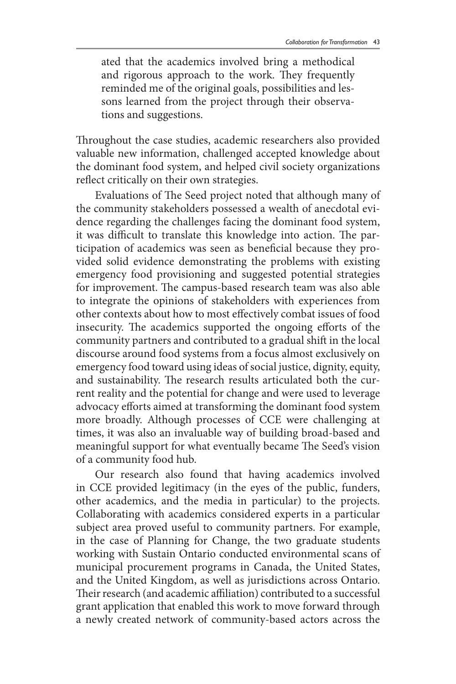ated that the academics involved bring a methodical and rigorous approach to the work. They frequently reminded me of the original goals, possibilities and lessons learned from the project through their observations and suggestions.

Throughout the case studies, academic researchers also provided valuable new information, challenged accepted knowledge about the dominant food system, and helped civil society organizations reflect critically on their own strategies.

Evaluations of The Seed project noted that although many of the community stakeholders possessed a wealth of anecdotal evidence regarding the challenges facing the dominant food system, it was difficult to translate this knowledge into action. The participation of academics was seen as beneficial because they provided solid evidence demonstrating the problems with existing emergency food provisioning and suggested potential strategies for improvement. The campus-based research team was also able to integrate the opinions of stakeholders with experiences from other contexts about how to most effectively combat issues of food insecurity. The academics supported the ongoing efforts of the community partners and contributed to a gradual shift in the local discourse around food systems from a focus almost exclusively on emergency food toward using ideas of social justice, dignity, equity, and sustainability. The research results articulated both the current reality and the potential for change and were used to leverage advocacy efforts aimed at transforming the dominant food system more broadly. Although processes of CCE were challenging at times, it was also an invaluable way of building broad-based and meaningful support for what eventually became The Seed's vision of a community food hub.

Our research also found that having academics involved in CCE provided legitimacy (in the eyes of the public, funders, other academics, and the media in particular) to the projects. Collaborating with academics considered experts in a particular subject area proved useful to community partners. For example, in the case of Planning for Change, the two graduate students working with Sustain Ontario conducted environmental scans of municipal procurement programs in Canada, the United States, and the United Kingdom, as well as jurisdictions across Ontario. Their research (and academic affiliation) contributed to a successful grant application that enabled this work to move forward through a newly created network of community-based actors across the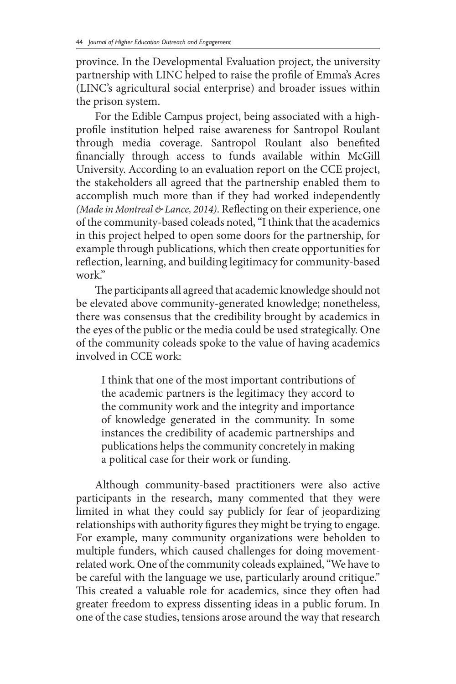province. In the Developmental Evaluation project, the university partnership with LINC helped to raise the profile of Emma's Acres (LINC's agricultural social enterprise) and broader issues within the prison system.

For the Edible Campus project, being associated with a highprofile institution helped raise awareness for Santropol Roulant through media coverage. Santropol Roulant also benefited financially through access to funds available within McGill University. According to an evaluation report on the CCE project, the stakeholders all agreed that the partnership enabled them to accomplish much more than if they had worked independently *(Made in Montreal & Lance, 2014)*. Reflecting on their experience, one of the community-based coleads noted, "I think that the academics in this project helped to open some doors for the partnership, for example through publications, which then create opportunities for reflection, learning, and building legitimacy for community-based work."

The participants all agreed that academic knowledge should not be elevated above community-generated knowledge; nonetheless, there was consensus that the credibility brought by academics in the eyes of the public or the media could be used strategically. One of the community coleads spoke to the value of having academics involved in CCE work:

I think that one of the most important contributions of the academic partners is the legitimacy they accord to the community work and the integrity and importance of knowledge generated in the community. In some instances the credibility of academic partnerships and publications helps the community concretely in making a political case for their work or funding.

Although community-based practitioners were also active participants in the research, many commented that they were limited in what they could say publicly for fear of jeopardizing relationships with authority figures they might be trying to engage. For example, many community organizations were beholden to multiple funders, which caused challenges for doing movementrelated work. One of the community coleads explained, "We have to be careful with the language we use, particularly around critique." This created a valuable role for academics, since they often had greater freedom to express dissenting ideas in a public forum. In one of the case studies, tensions arose around the way that research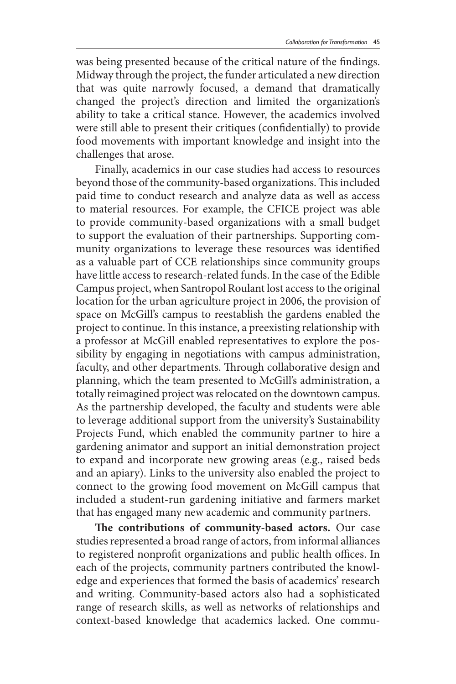was being presented because of the critical nature of the findings. Midway through the project, the funder articulated a new direction that was quite narrowly focused, a demand that dramatically changed the project's direction and limited the organization's ability to take a critical stance. However, the academics involved were still able to present their critiques (confidentially) to provide food movements with important knowledge and insight into the challenges that arose.

Finally, academics in our case studies had access to resources beyond those of the community-based organizations. This included paid time to conduct research and analyze data as well as access to material resources. For example, the CFICE project was able to provide community-based organizations with a small budget to support the evaluation of their partnerships. Supporting community organizations to leverage these resources was identified as a valuable part of CCE relationships since community groups have little access to research-related funds. In the case of the Edible Campus project, when Santropol Roulant lost access to the original location for the urban agriculture project in 2006, the provision of space on McGill's campus to reestablish the gardens enabled the project to continue. In this instance, a preexisting relationship with a professor at McGill enabled representatives to explore the possibility by engaging in negotiations with campus administration, faculty, and other departments. Through collaborative design and planning, which the team presented to McGill's administration, a totally reimagined project was relocated on the downtown campus. As the partnership developed, the faculty and students were able to leverage additional support from the university's Sustainability Projects Fund, which enabled the community partner to hire a gardening animator and support an initial demonstration project to expand and incorporate new growing areas (e.g., raised beds and an apiary). Links to the university also enabled the project to connect to the growing food movement on McGill campus that included a student-run gardening initiative and farmers market that has engaged many new academic and community partners.

**The contributions of community-based actors.** Our case studies represented a broad range of actors, from informal alliances to registered nonprofit organizations and public health offices. In each of the projects, community partners contributed the knowledge and experiences that formed the basis of academics' research and writing. Community-based actors also had a sophisticated range of research skills, as well as networks of relationships and context-based knowledge that academics lacked. One commu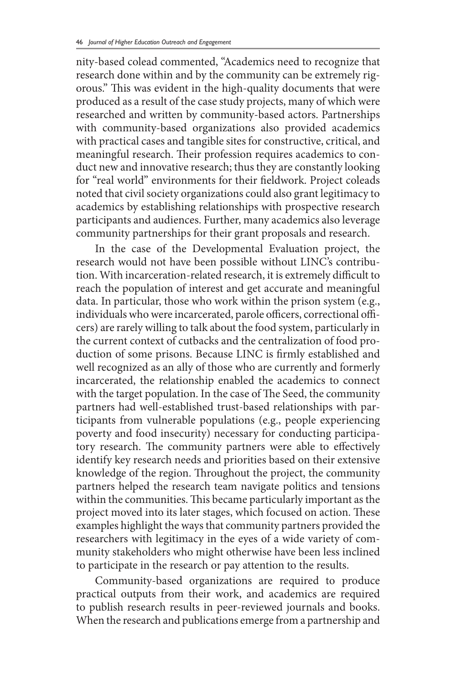nity-based colead commented, "Academics need to recognize that research done within and by the community can be extremely rigorous." This was evident in the high-quality documents that were produced as a result of the case study projects, many of which were researched and written by community-based actors. Partnerships with community-based organizations also provided academics with practical cases and tangible sites for constructive, critical, and meaningful research. Their profession requires academics to conduct new and innovative research; thus they are constantly looking for "real world" environments for their fieldwork. Project coleads noted that civil society organizations could also grant legitimacy to academics by establishing relationships with prospective research participants and audiences. Further, many academics also leverage community partnerships for their grant proposals and research.

In the case of the Developmental Evaluation project, the research would not have been possible without LINC's contribution. With incarceration-related research, it is extremely difficult to reach the population of interest and get accurate and meaningful data. In particular, those who work within the prison system (e.g., individuals who were incarcerated, parole officers, correctional officers) are rarely willing to talk about the food system, particularly in the current context of cutbacks and the centralization of food production of some prisons. Because LINC is firmly established and well recognized as an ally of those who are currently and formerly incarcerated, the relationship enabled the academics to connect with the target population. In the case of The Seed, the community partners had well-established trust-based relationships with participants from vulnerable populations (e.g., people experiencing poverty and food insecurity) necessary for conducting participatory research. The community partners were able to effectively identify key research needs and priorities based on their extensive knowledge of the region. Throughout the project, the community partners helped the research team navigate politics and tensions within the communities. This became particularly important as the project moved into its later stages, which focused on action. These examples highlight the ways that community partners provided the researchers with legitimacy in the eyes of a wide variety of community stakeholders who might otherwise have been less inclined to participate in the research or pay attention to the results.

Community-based organizations are required to produce practical outputs from their work, and academics are required to publish research results in peer-reviewed journals and books. When the research and publications emerge from a partnership and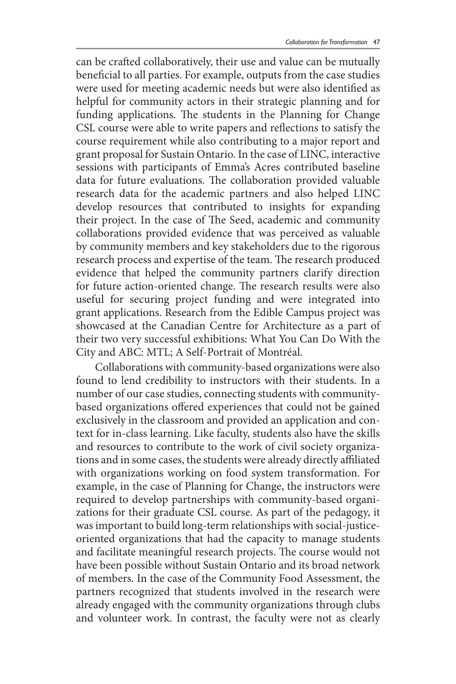can be crafted collaboratively, their use and value can be mutually beneficial to all parties. For example, outputs from the case studies were used for meeting academic needs but were also identified as helpful for community actors in their strategic planning and for funding applications. The students in the Planning for Change CSL course were able to write papers and reflections to satisfy the course requirement while also contributing to a major report and grant proposal for Sustain Ontario. In the case of LINC, interactive sessions with participants of Emma's Acres contributed baseline data for future evaluations. The collaboration provided valuable research data for the academic partners and also helped LINC develop resources that contributed to insights for expanding their project. In the case of The Seed, academic and community collaborations provided evidence that was perceived as valuable by community members and key stakeholders due to the rigorous research process and expertise of the team. The research produced evidence that helped the community partners clarify direction for future action-oriented change. The research results were also useful for securing project funding and were integrated into grant applications. Research from the Edible Campus project was showcased at the Canadian Centre for Architecture as a part of their two very successful exhibitions: What You Can Do With the City and ABC: MTL; A Self-Portrait of Montréal.

Collaborations with community-based organizations were also found to lend credibility to instructors with their students. In a number of our case studies, connecting students with communitybased organizations offered experiences that could not be gained exclusively in the classroom and provided an application and context for in-class learning. Like faculty, students also have the skills and resources to contribute to the work of civil society organizations and in some cases, the students were already directly affiliated with organizations working on food system transformation. For example, in the case of Planning for Change, the instructors were required to develop partnerships with community-based organizations for their graduate CSL course. As part of the pedagogy, it was important to build long-term relationships with social-justiceoriented organizations that had the capacity to manage students and facilitate meaningful research projects. The course would not have been possible without Sustain Ontario and its broad network of members. In the case of the Community Food Assessment, the partners recognized that students involved in the research were already engaged with the community organizations through clubs and volunteer work. In contrast, the faculty were not as clearly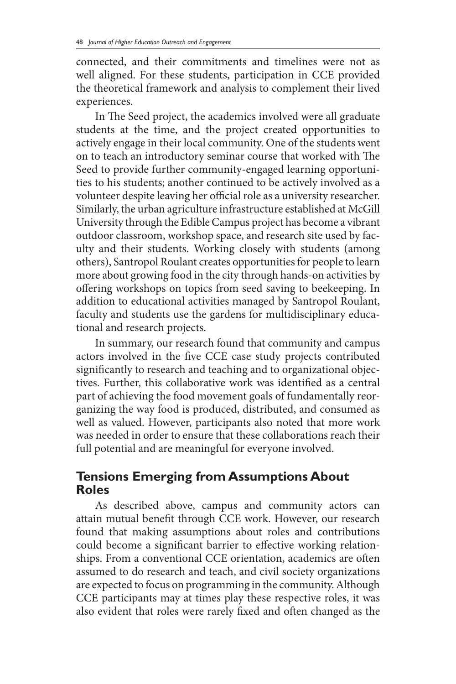connected, and their commitments and timelines were not as well aligned. For these students, participation in CCE provided the theoretical framework and analysis to complement their lived experiences.

In The Seed project, the academics involved were all graduate students at the time, and the project created opportunities to actively engage in their local community. One of the students went on to teach an introductory seminar course that worked with The Seed to provide further community-engaged learning opportunities to his students; another continued to be actively involved as a volunteer despite leaving her official role as a university researcher. Similarly, the urban agriculture infrastructure established at McGill University through the Edible Campus project has become a vibrant outdoor classroom, workshop space, and research site used by faculty and their students. Working closely with students (among others), Santropol Roulant creates opportunities for people to learn more about growing food in the city through hands-on activities by offering workshops on topics from seed saving to beekeeping. In addition to educational activities managed by Santropol Roulant, faculty and students use the gardens for multidisciplinary educational and research projects.

In summary, our research found that community and campus actors involved in the five CCE case study projects contributed significantly to research and teaching and to organizational objectives. Further, this collaborative work was identified as a central part of achieving the food movement goals of fundamentally reorganizing the way food is produced, distributed, and consumed as well as valued. However, participants also noted that more work was needed in order to ensure that these collaborations reach their full potential and are meaningful for everyone involved.

## **Tensions Emerging from Assumptions About Roles**

As described above, campus and community actors can attain mutual benefit through CCE work. However, our research found that making assumptions about roles and contributions could become a significant barrier to effective working relationships. From a conventional CCE orientation, academics are often assumed to do research and teach, and civil society organizations are expected to focus on programming in the community. Although CCE participants may at times play these respective roles, it was also evident that roles were rarely fixed and often changed as the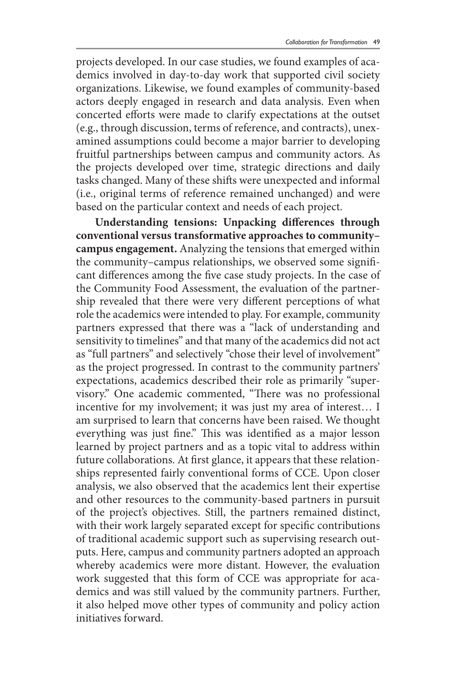projects developed. In our case studies, we found examples of academics involved in day-to-day work that supported civil society organizations. Likewise, we found examples of community-based actors deeply engaged in research and data analysis. Even when concerted efforts were made to clarify expectations at the outset (e.g., through discussion, terms of reference, and contracts), unexamined assumptions could become a major barrier to developing fruitful partnerships between campus and community actors. As the projects developed over time, strategic directions and daily tasks changed. Many of these shifts were unexpected and informal (i.e., original terms of reference remained unchanged) and were based on the particular context and needs of each project.

**Understanding tensions: Unpacking differences through conventional versus transformative approaches to community– campus engagement.** Analyzing the tensions that emerged within the community–campus relationships, we observed some significant differences among the five case study projects. In the case of the Community Food Assessment, the evaluation of the partnership revealed that there were very different perceptions of what role the academics were intended to play. For example, community partners expressed that there was a "lack of understanding and sensitivity to timelines" and that many of the academics did not act as "full partners" and selectively "chose their level of involvement" as the project progressed. In contrast to the community partners' expectations, academics described their role as primarily "supervisory." One academic commented, "There was no professional incentive for my involvement; it was just my area of interest… I am surprised to learn that concerns have been raised. We thought everything was just fine." This was identified as a major lesson learned by project partners and as a topic vital to address within future collaborations. At first glance, it appears that these relationships represented fairly conventional forms of CCE. Upon closer analysis, we also observed that the academics lent their expertise and other resources to the community-based partners in pursuit of the project's objectives. Still, the partners remained distinct, with their work largely separated except for specific contributions of traditional academic support such as supervising research outputs. Here, campus and community partners adopted an approach whereby academics were more distant. However, the evaluation work suggested that this form of CCE was appropriate for academics and was still valued by the community partners. Further, it also helped move other types of community and policy action initiatives forward.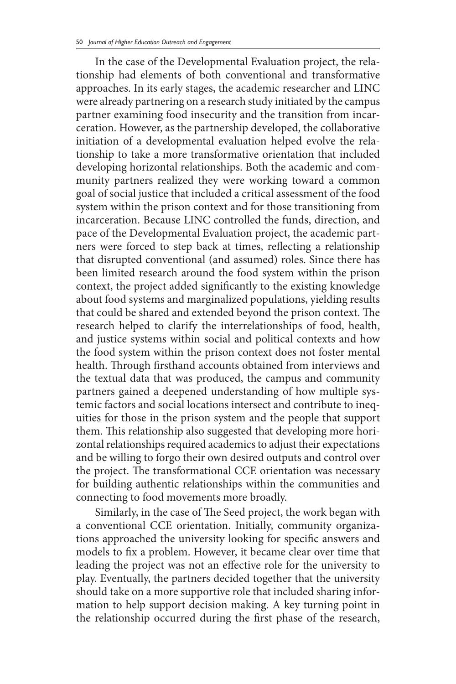In the case of the Developmental Evaluation project, the relationship had elements of both conventional and transformative approaches. In its early stages, the academic researcher and LINC were already partnering on a research study initiated by the campus partner examining food insecurity and the transition from incarceration. However, as the partnership developed, the collaborative initiation of a developmental evaluation helped evolve the relationship to take a more transformative orientation that included developing horizontal relationships. Both the academic and community partners realized they were working toward a common goal of social justice that included a critical assessment of the food system within the prison context and for those transitioning from incarceration. Because LINC controlled the funds, direction, and pace of the Developmental Evaluation project, the academic partners were forced to step back at times, reflecting a relationship that disrupted conventional (and assumed) roles. Since there has been limited research around the food system within the prison context, the project added significantly to the existing knowledge about food systems and marginalized populations, yielding results that could be shared and extended beyond the prison context. The research helped to clarify the interrelationships of food, health, and justice systems within social and political contexts and how the food system within the prison context does not foster mental health. Through firsthand accounts obtained from interviews and the textual data that was produced, the campus and community partners gained a deepened understanding of how multiple systemic factors and social locations intersect and contribute to inequities for those in the prison system and the people that support them. This relationship also suggested that developing more horizontal relationships required academics to adjust their expectations and be willing to forgo their own desired outputs and control over the project. The transformational CCE orientation was necessary for building authentic relationships within the communities and connecting to food movements more broadly.

Similarly, in the case of The Seed project, the work began with a conventional CCE orientation. Initially, community organizations approached the university looking for specific answers and models to fix a problem. However, it became clear over time that leading the project was not an effective role for the university to play. Eventually, the partners decided together that the university should take on a more supportive role that included sharing information to help support decision making. A key turning point in the relationship occurred during the first phase of the research,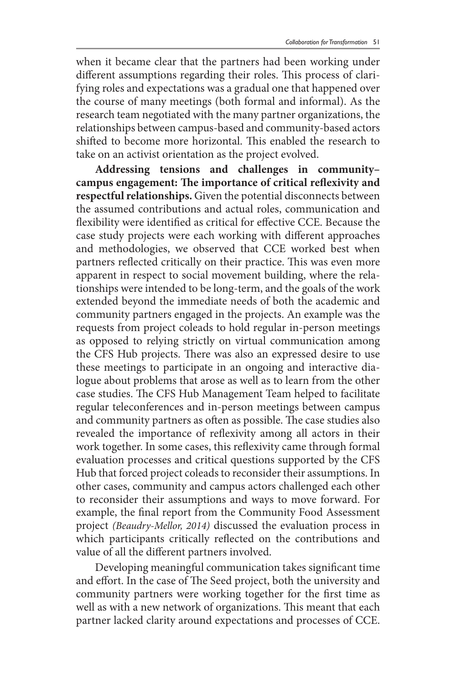when it became clear that the partners had been working under different assumptions regarding their roles. This process of clarifying roles and expectations was a gradual one that happened over the course of many meetings (both formal and informal). As the research team negotiated with the many partner organizations, the relationships between campus-based and community-based actors shifted to become more horizontal. This enabled the research to take on an activist orientation as the project evolved.

**Addressing tensions and challenges in community– campus engagement: The importance of critical reflexivity and respectful relationships.** Given the potential disconnects between the assumed contributions and actual roles, communication and flexibility were identified as critical for effective CCE. Because the case study projects were each working with different approaches and methodologies, we observed that CCE worked best when partners reflected critically on their practice. This was even more apparent in respect to social movement building, where the relationships were intended to be long-term, and the goals of the work extended beyond the immediate needs of both the academic and community partners engaged in the projects. An example was the requests from project coleads to hold regular in-person meetings as opposed to relying strictly on virtual communication among the CFS Hub projects. There was also an expressed desire to use these meetings to participate in an ongoing and interactive dialogue about problems that arose as well as to learn from the other case studies. The CFS Hub Management Team helped to facilitate regular teleconferences and in-person meetings between campus and community partners as often as possible. The case studies also revealed the importance of reflexivity among all actors in their work together. In some cases, this reflexivity came through formal evaluation processes and critical questions supported by the CFS Hub that forced project coleads to reconsider their assumptions. In other cases, community and campus actors challenged each other to reconsider their assumptions and ways to move forward. For example, the final report from the Community Food Assessment project *(Beaudry-Mellor, 2014)* discussed the evaluation process in which participants critically reflected on the contributions and value of all the different partners involved.

Developing meaningful communication takes significant time and effort. In the case of The Seed project, both the university and community partners were working together for the first time as well as with a new network of organizations. This meant that each partner lacked clarity around expectations and processes of CCE.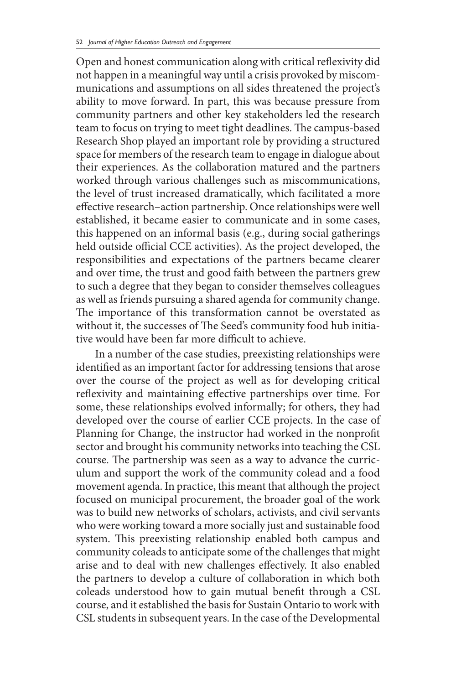Open and honest communication along with critical reflexivity did not happen in a meaningful way until a crisis provoked by miscommunications and assumptions on all sides threatened the project's ability to move forward. In part, this was because pressure from community partners and other key stakeholders led the research team to focus on trying to meet tight deadlines. The campus-based Research Shop played an important role by providing a structured space for members of the research team to engage in dialogue about their experiences. As the collaboration matured and the partners worked through various challenges such as miscommunications, the level of trust increased dramatically, which facilitated a more effective research–action partnership. Once relationships were well established, it became easier to communicate and in some cases, this happened on an informal basis (e.g., during social gatherings held outside official CCE activities). As the project developed, the responsibilities and expectations of the partners became clearer and over time, the trust and good faith between the partners grew to such a degree that they began to consider themselves colleagues as well as friends pursuing a shared agenda for community change. The importance of this transformation cannot be overstated as without it, the successes of The Seed's community food hub initiative would have been far more difficult to achieve.

In a number of the case studies, preexisting relationships were identified as an important factor for addressing tensions that arose over the course of the project as well as for developing critical reflexivity and maintaining effective partnerships over time. For some, these relationships evolved informally; for others, they had developed over the course of earlier CCE projects. In the case of Planning for Change, the instructor had worked in the nonprofit sector and brought his community networks into teaching the CSL course. The partnership was seen as a way to advance the curriculum and support the work of the community colead and a food movement agenda. In practice, this meant that although the project focused on municipal procurement, the broader goal of the work was to build new networks of scholars, activists, and civil servants who were working toward a more socially just and sustainable food system. This preexisting relationship enabled both campus and community coleads to anticipate some of the challenges that might arise and to deal with new challenges effectively. It also enabled the partners to develop a culture of collaboration in which both coleads understood how to gain mutual benefit through a CSL course, and it established the basis for Sustain Ontario to work with CSL students in subsequent years. In the case of the Developmental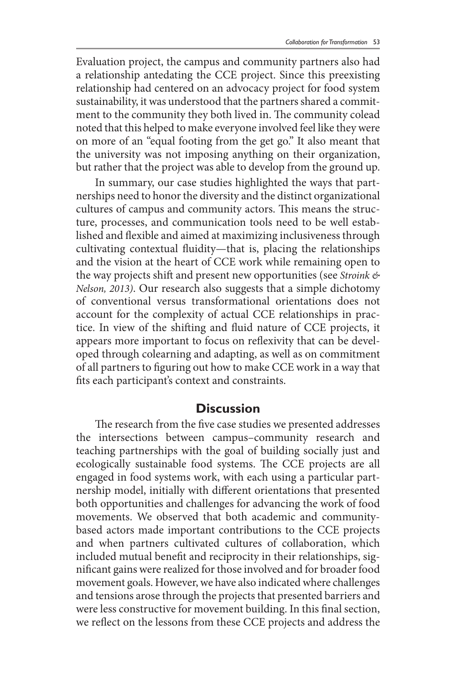Evaluation project, the campus and community partners also had a relationship antedating the CCE project. Since this preexisting relationship had centered on an advocacy project for food system sustainability, it was understood that the partners shared a commitment to the community they both lived in. The community colead noted that this helped to make everyone involved feel like they were on more of an "equal footing from the get go." It also meant that the university was not imposing anything on their organization, but rather that the project was able to develop from the ground up.

In summary, our case studies highlighted the ways that partnerships need to honor the diversity and the distinct organizational cultures of campus and community actors. This means the structure, processes, and communication tools need to be well established and flexible and aimed at maximizing inclusiveness through cultivating contextual fluidity—that is, placing the relationships and the vision at the heart of CCE work while remaining open to the way projects shift and present new opportunities (see *Stroink & Nelson, 2013)*. Our research also suggests that a simple dichotomy of conventional versus transformational orientations does not account for the complexity of actual CCE relationships in practice. In view of the shifting and fluid nature of CCE projects, it appears more important to focus on reflexivity that can be developed through colearning and adapting, as well as on commitment of all partners to figuring out how to make CCE work in a way that fits each participant's context and constraints.

#### **Discussion**

The research from the five case studies we presented addresses the intersections between campus–community research and teaching partnerships with the goal of building socially just and ecologically sustainable food systems. The CCE projects are all engaged in food systems work, with each using a particular partnership model, initially with different orientations that presented both opportunities and challenges for advancing the work of food movements. We observed that both academic and communitybased actors made important contributions to the CCE projects and when partners cultivated cultures of collaboration, which included mutual benefit and reciprocity in their relationships, significant gains were realized for those involved and for broader food movement goals. However, we have also indicated where challenges and tensions arose through the projects that presented barriers and were less constructive for movement building. In this final section, we reflect on the lessons from these CCE projects and address the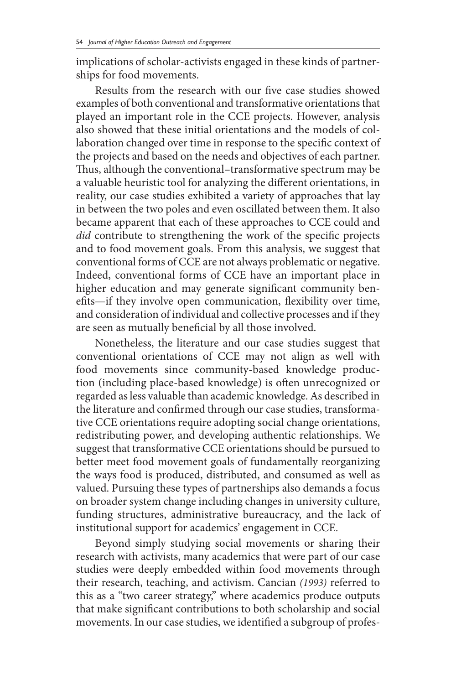implications of scholar-activists engaged in these kinds of partnerships for food movements.

Results from the research with our five case studies showed examples of both conventional and transformative orientations that played an important role in the CCE projects. However, analysis also showed that these initial orientations and the models of collaboration changed over time in response to the specific context of the projects and based on the needs and objectives of each partner. Thus, although the conventional–transformative spectrum may be a valuable heuristic tool for analyzing the different orientations, in reality, our case studies exhibited a variety of approaches that lay in between the two poles and even oscillated between them. It also became apparent that each of these approaches to CCE could and *did* contribute to strengthening the work of the specific projects and to food movement goals. From this analysis, we suggest that conventional forms of CCE are not always problematic or negative. Indeed, conventional forms of CCE have an important place in higher education and may generate significant community benefits—if they involve open communication, flexibility over time, and consideration of individual and collective processes and if they are seen as mutually beneficial by all those involved.

Nonetheless, the literature and our case studies suggest that conventional orientations of CCE may not align as well with food movements since community-based knowledge production (including place-based knowledge) is often unrecognized or regarded as less valuable than academic knowledge. As described in the literature and confirmed through our case studies, transformative CCE orientations require adopting social change orientations, redistributing power, and developing authentic relationships. We suggest that transformative CCE orientations should be pursued to better meet food movement goals of fundamentally reorganizing the ways food is produced, distributed, and consumed as well as valued. Pursuing these types of partnerships also demands a focus on broader system change including changes in university culture, funding structures, administrative bureaucracy, and the lack of institutional support for academics' engagement in CCE.

Beyond simply studying social movements or sharing their research with activists, many academics that were part of our case studies were deeply embedded within food movements through their research, teaching, and activism. Cancian *(1993)* referred to this as a "two career strategy," where academics produce outputs that make significant contributions to both scholarship and social movements. In our case studies, we identified a subgroup of profes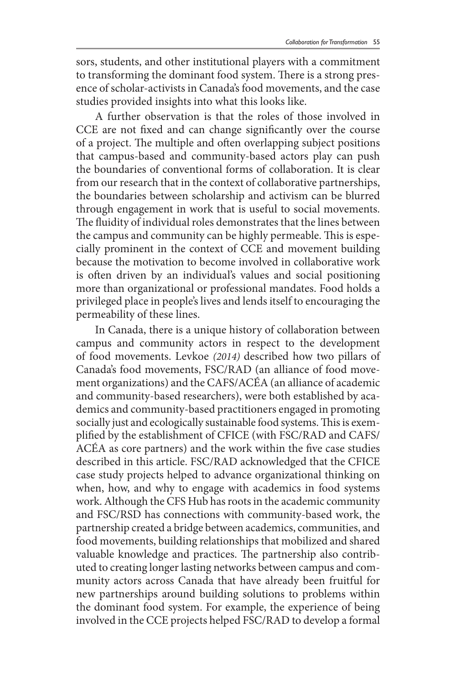sors, students, and other institutional players with a commitment to transforming the dominant food system. There is a strong presence of scholar-activists in Canada's food movements, and the case studies provided insights into what this looks like.

A further observation is that the roles of those involved in CCE are not fixed and can change significantly over the course of a project. The multiple and often overlapping subject positions that campus-based and community-based actors play can push the boundaries of conventional forms of collaboration. It is clear from our research that in the context of collaborative partnerships, the boundaries between scholarship and activism can be blurred through engagement in work that is useful to social movements. The fluidity of individual roles demonstrates that the lines between the campus and community can be highly permeable. This is especially prominent in the context of CCE and movement building because the motivation to become involved in collaborative work is often driven by an individual's values and social positioning more than organizational or professional mandates. Food holds a privileged place in people's lives and lends itself to encouraging the permeability of these lines.

In Canada, there is a unique history of collaboration between campus and community actors in respect to the development of food movements. Levkoe *(2014)* described how two pillars of Canada's food movements, FSC/RAD (an alliance of food movement organizations) and the CAFS/ACÉA (an alliance of academic and community-based researchers), were both established by academics and community-based practitioners engaged in promoting socially just and ecologically sustainable food systems. This is exemplified by the establishment of CFICE (with FSC/RAD and CAFS/ ACÉA as core partners) and the work within the five case studies described in this article. FSC/RAD acknowledged that the CFICE case study projects helped to advance organizational thinking on when, how, and why to engage with academics in food systems work. Although the CFS Hub has roots in the academic community and FSC/RSD has connections with community-based work, the partnership created a bridge between academics, communities, and food movements, building relationships that mobilized and shared valuable knowledge and practices. The partnership also contributed to creating longer lasting networks between campus and community actors across Canada that have already been fruitful for new partnerships around building solutions to problems within the dominant food system. For example, the experience of being involved in the CCE projects helped FSC/RAD to develop a formal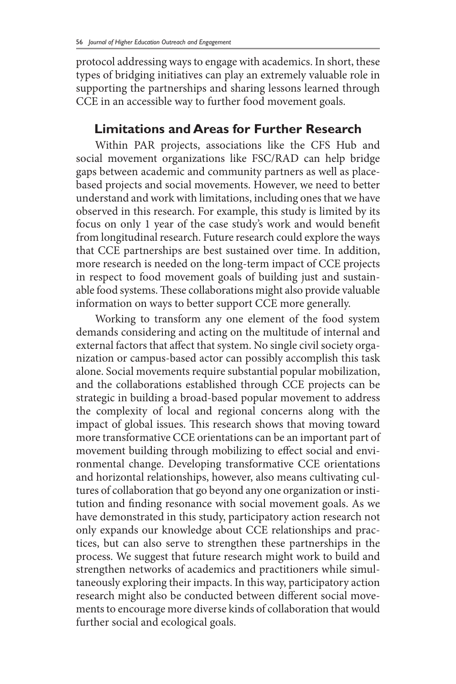protocol addressing ways to engage with academics. In short, these types of bridging initiatives can play an extremely valuable role in supporting the partnerships and sharing lessons learned through CCE in an accessible way to further food movement goals.

#### **Limitations and Areas for Further Research**

Within PAR projects, associations like the CFS Hub and social movement organizations like FSC/RAD can help bridge gaps between academic and community partners as well as placebased projects and social movements. However, we need to better understand and work with limitations, including ones that we have observed in this research. For example, this study is limited by its focus on only 1 year of the case study's work and would benefit from longitudinal research. Future research could explore the ways that CCE partnerships are best sustained over time. In addition, more research is needed on the long-term impact of CCE projects in respect to food movement goals of building just and sustainable food systems. These collaborations might also provide valuable information on ways to better support CCE more generally.

Working to transform any one element of the food system demands considering and acting on the multitude of internal and external factors that affect that system. No single civil society organization or campus-based actor can possibly accomplish this task alone. Social movements require substantial popular mobilization, and the collaborations established through CCE projects can be strategic in building a broad-based popular movement to address the complexity of local and regional concerns along with the impact of global issues. This research shows that moving toward more transformative CCE orientations can be an important part of movement building through mobilizing to effect social and environmental change. Developing transformative CCE orientations and horizontal relationships, however, also means cultivating cultures of collaboration that go beyond any one organization or institution and finding resonance with social movement goals. As we have demonstrated in this study, participatory action research not only expands our knowledge about CCE relationships and practices, but can also serve to strengthen these partnerships in the process. We suggest that future research might work to build and strengthen networks of academics and practitioners while simultaneously exploring their impacts. In this way, participatory action research might also be conducted between different social movements to encourage more diverse kinds of collaboration that would further social and ecological goals.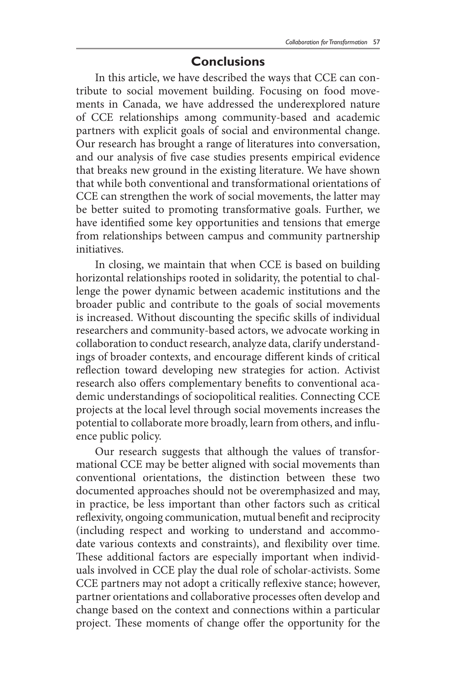### **Conclusions**

In this article, we have described the ways that CCE can contribute to social movement building. Focusing on food movements in Canada, we have addressed the underexplored nature of CCE relationships among community-based and academic partners with explicit goals of social and environmental change. Our research has brought a range of literatures into conversation, and our analysis of five case studies presents empirical evidence that breaks new ground in the existing literature. We have shown that while both conventional and transformational orientations of CCE can strengthen the work of social movements, the latter may be better suited to promoting transformative goals. Further, we have identified some key opportunities and tensions that emerge from relationships between campus and community partnership initiatives.

In closing, we maintain that when CCE is based on building horizontal relationships rooted in solidarity, the potential to challenge the power dynamic between academic institutions and the broader public and contribute to the goals of social movements is increased. Without discounting the specific skills of individual researchers and community-based actors, we advocate working in collaboration to conduct research, analyze data, clarify understandings of broader contexts, and encourage different kinds of critical reflection toward developing new strategies for action. Activist research also offers complementary benefits to conventional academic understandings of sociopolitical realities. Connecting CCE projects at the local level through social movements increases the potential to collaborate more broadly, learn from others, and influence public policy.

Our research suggests that although the values of transformational CCE may be better aligned with social movements than conventional orientations, the distinction between these two documented approaches should not be overemphasized and may, in practice, be less important than other factors such as critical reflexivity, ongoing communication, mutual benefit and reciprocity (including respect and working to understand and accommodate various contexts and constraints), and flexibility over time. These additional factors are especially important when individuals involved in CCE play the dual role of scholar-activists. Some CCE partners may not adopt a critically reflexive stance; however, partner orientations and collaborative processes often develop and change based on the context and connections within a particular project. These moments of change offer the opportunity for the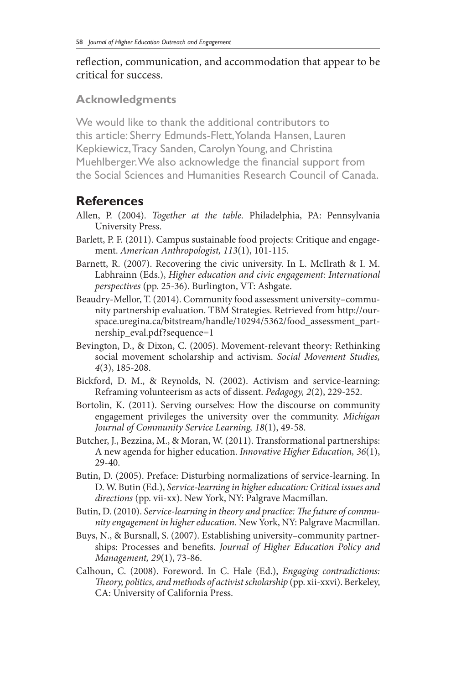#### reflection, communication, and accommodation that appear to be critical for success.

#### **Acknowledgments**

We would like to thank the additional contributors to this article: Sherry Edmunds-Flett, Yolanda Hansen, Lauren Kepkiewicz, Tracy Sanden, Carolyn Young, and Christina Muehlberger. We also acknowledge the financial support from the Social Sciences and Humanities Research Council of Canada.

# **References**

- Allen, P. (2004). *Together at the table.* Philadelphia, PA: Pennsylvania University Press.
- Barlett, P. F. (2011). Campus sustainable food projects: Critique and engagement. *American Anthropologist, 113*(1), 101-115.
- Barnett, R. (2007). Recovering the civic university. In L. McIlrath & I. M. Labhrainn (Eds.), *Higher education and civic engagement: International perspectives* (pp. 25-36). Burlington, VT: Ashgate.
- Beaudry-Mellor, T. (2014). Community food assessment university–community partnership evaluation. TBM Strategies. Retrieved from http://ourspace.uregina.ca/bitstream/handle/10294/5362/food\_assessment\_partnership\_eval.pdf?sequence=1
- Bevington, D., & Dixon, C. (2005). Movement-relevant theory: Rethinking social movement scholarship and activism. *Social Movement Studies, 4*(3), 185-208.
- Bickford, D. M., & Reynolds, N. (2002). Activism and service-learning: Reframing volunteerism as acts of dissent. *Pedagogy, 2*(2), 229-252.
- Bortolin, K. (2011). Serving ourselves: How the discourse on community engagement privileges the university over the community. *Michigan Journal of Community Service Learning, 18*(1), 49-58.
- Butcher, J., Bezzina, M., & Moran, W. (2011). Transformational partnerships: A new agenda for higher education. *Innovative Higher Education, 36*(1), 29-40.
- Butin, D. (2005). Preface: Disturbing normalizations of service-learning. In D. W. Butin (Ed.), *Service-learning in higher education: Critical issues and directions* (pp. vii-xx). New York, NY: Palgrave Macmillan.
- Butin, D. (2010). *Service-learning in theory and practice: The future of community engagement in higher education.* New York, NY: Palgrave Macmillan.
- Buys, N., & Bursnall, S. (2007). Establishing university–community partnerships: Processes and benefits. *Journal of Higher Education Policy and Management, 29*(1), 73-86.
- Calhoun, C. (2008). Foreword. In C. Hale (Ed.), *Engaging contradictions: Theory, politics, and methods of activist scholarship* (pp. xii-xxvi). Berkeley, CA: University of California Press.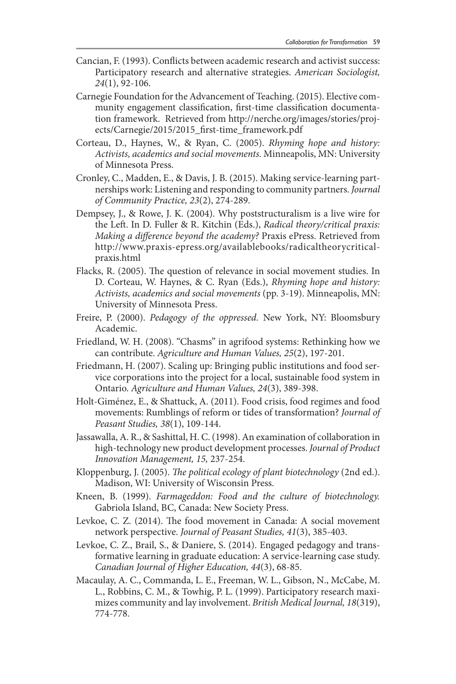- Cancian, F. (1993). Conflicts between academic research and activist success: Participatory research and alternative strategies. *American Sociologist, 24*(1), 92-106.
- Carnegie Foundation for the Advancement of Teaching. (2015). Elective community engagement classification, first-time classification documentation framework. Retrieved from http://nerche.org/images/stories/projects/Carnegie/2015/2015\_first-time\_framework.pdf
- Corteau, D., Haynes, W., & Ryan, C. (2005). *Rhyming hope and history: Activists, academics and social movements.* Minneapolis, MN: University of Minnesota Press.
- Cronley, C., Madden, E., & Davis, J. B. (2015). Making service-learning partnerships work: Listening and responding to community partners. *Journal of Community Practice, 23*(2), 274-289.
- Dempsey, J., & Rowe, J. K. (2004). Why poststructuralism is a live wire for the Left. In D. Fuller & R. Kitchin (Eds.), *Radical theory/critical praxis: Making a difference beyond the academy?* Praxis ePress. Retrieved from http://www.praxis-epress.org/availablebooks/radicaltheorycriticalpraxis.html
- Flacks, R. (2005). The question of relevance in social movement studies. In D. Corteau, W. Haynes, & C. Ryan (Eds.), *Rhyming hope and history: Activists, academics and social movements* (pp. 3-19). Minneapolis, MN: University of Minnesota Press.
- Freire, P. (2000). *Pedagogy of the oppressed.* New York, NY: Bloomsbury Academic.
- Friedland, W. H. (2008). "Chasms" in agrifood systems: Rethinking how we can contribute. *Agriculture and Human Values, 25*(2), 197-201.
- Friedmann, H. (2007). Scaling up: Bringing public institutions and food service corporations into the project for a local, sustainable food system in Ontario. *Agriculture and Human Values, 24*(3), 389-398.
- Holt-Giménez, E., & Shattuck, A. (2011). Food crisis, food regimes and food movements: Rumblings of reform or tides of transformation? *Journal of Peasant Studies, 38*(1), 109-144.
- Jassawalla, A. R., & Sashittal, H. C. (1998). An examination of collaboration in high-technology new product development processes. *Journal of Product Innovation Management, 15,* 237-254.
- Kloppenburg, J. (2005). *The political ecology of plant biotechnology* (2nd ed.). Madison, WI: University of Wisconsin Press.
- Kneen, B. (1999). *Farmageddon: Food and the culture of biotechnology.*  Gabriola Island, BC, Canada: New Society Press.
- Levkoe, C. Z. (2014). The food movement in Canada: A social movement network perspective. *Journal of Peasant Studies, 41*(3), 385-403.
- Levkoe, C. Z., Brail, S., & Daniere, S. (2014). Engaged pedagogy and transformative learning in graduate education: A service-learning case study. *Canadian Journal of Higher Education, 44*(3), 68-85.
- Macaulay, A. C., Commanda, L. E., Freeman, W. L., Gibson, N., McCabe, M. L., Robbins, C. M., & Towhig, P. L. (1999). Participatory research maximizes community and lay involvement. *British Medical Journal, 18*(319), 774-778.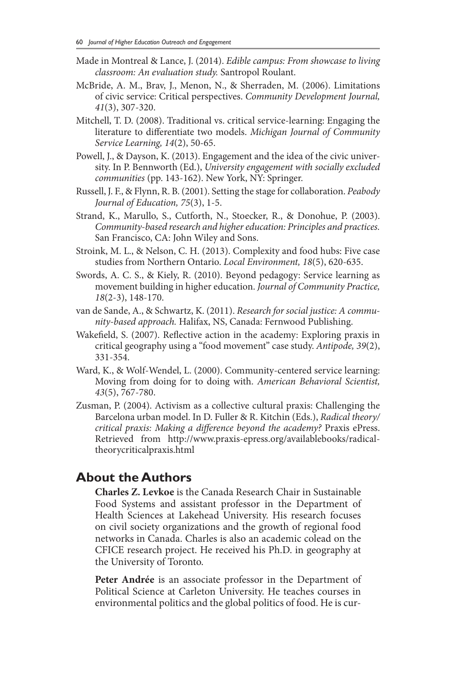- Made in Montreal & Lance, J. (2014). *Edible campus: From showcase to living classroom: An evaluation study.* Santropol Roulant.
- McBride, A. M., Brav, J., Menon, N., & Sherraden, M. (2006). Limitations of civic service: Critical perspectives. *Community Development Journal, 41*(3), 307-320.
- Mitchell, T. D. (2008). Traditional vs. critical service-learning: Engaging the literature to differentiate two models. *Michigan Journal of Community Service Learning, 14*(2), 50-65.
- Powell, J., & Dayson, K. (2013). Engagement and the idea of the civic university. In P. Bennworth (Ed.), *University engagement with socially excluded communities* (pp. 143-162). New York, NY: Springer.
- Russell, J. F., & Flynn, R. B. (2001). Setting the stage for collaboration. *Peabody Journal of Education, 75*(3), 1-5.
- Strand, K., Marullo, S., Cutforth, N., Stoecker, R., & Donohue, P. (2003). *Community-based research and higher education: Principles and practices.*  San Francisco, CA: John Wiley and Sons.
- Stroink, M. L., & Nelson, C. H. (2013). Complexity and food hubs: Five case studies from Northern Ontario. *Local Environment, 18*(5), 620-635.
- Swords, A. C. S., & Kiely, R. (2010). Beyond pedagogy: Service learning as movement building in higher education. *Journal of Community Practice, 18*(2-3), 148-170.
- van de Sande, A., & Schwartz, K. (2011). *Research for social justice: A community-based approach.* Halifax, NS, Canada: Fernwood Publishing.
- Wakefield, S. (2007). Reflective action in the academy: Exploring praxis in critical geography using a "food movement" case study. *Antipode, 39*(2), 331-354.
- Ward, K., & Wolf-Wendel, L. (2000). Community-centered service learning: Moving from doing for to doing with. *American Behavioral Scientist, 43*(5), 767-780.
- Zusman, P. (2004). Activism as a collective cultural praxis: Challenging the Barcelona urban model. In D. Fuller & R. Kitchin (Eds.), *Radical theory/ critical praxis: Making a difference beyond the academy?* Praxis ePress. Retrieved from http://www.praxis-epress.org/availablebooks/radicaltheorycriticalpraxis.html

## **About the Authors**

**Charles Z. Levkoe** is the Canada Research Chair in Sustainable Food Systems and assistant professor in the Department of Health Sciences at Lakehead University. His research focuses on civil society organizations and the growth of regional food networks in Canada. Charles is also an academic colead on the CFICE research project. He received his Ph.D. in geography at the University of Toronto.

**Peter Andrée** is an associate professor in the Department of Political Science at Carleton University. He teaches courses in environmental politics and the global politics of food. He is cur